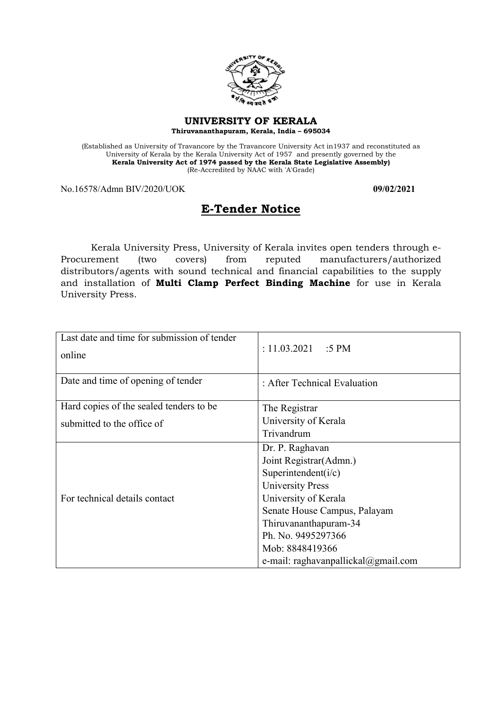

#### **UNIVERSITY OF KERALA Thiruvananthapuram, Kerala, India – 695034**

(Established as University of Travancore by the Travancore University Act in1937 and reconstituted as University of Kerala by the Kerala University Act of 1957 and presently governed by the **Kerala University Act of 1974 passed by the Kerala State Legislative Assembly)** (Re-Accredited by NAAC with 'A'Grade)

No.16578/Admn BIV/2020/UOK **09/02/2021**

# **E-Tender Notice**

Kerala University Press, University of Kerala invites open tenders through e-Procurement (two covers) from reputed manufacturers/authorized distributors/agents with sound technical and financial capabilities to the supply and installation of **Multi Clamp Perfect Binding Machine** for use in Kerala University Press.

| Last date and time for submission of tender<br>online | : $11.03.2021$ :5 PM                    |
|-------------------------------------------------------|-----------------------------------------|
| Date and time of opening of tender                    | : After Technical Evaluation            |
| Hard copies of the sealed tenders to be               | The Registrar                           |
| submitted to the office of                            | University of Kerala                    |
|                                                       | Trivandrum                              |
|                                                       | Dr. P. Raghavan                         |
|                                                       | Joint Registrar(Admn.)                  |
|                                                       | Superintendent( $i/c$ )                 |
|                                                       | <b>University Press</b>                 |
| For technical details contact                         | University of Kerala                    |
|                                                       | Senate House Campus, Palayam            |
|                                                       | Thiruvananthapuram-34                   |
|                                                       | Ph. No. 9495297366                      |
|                                                       | Mob: 8848419366                         |
|                                                       | e-mail: raghavanpallickal $@g$ mail.com |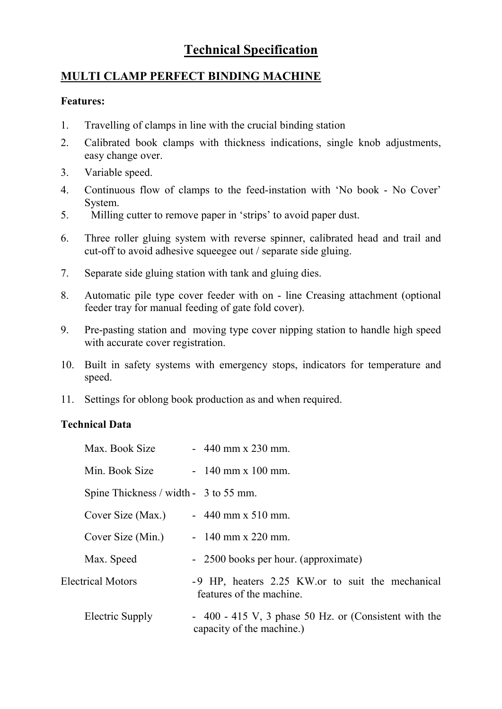# **Technical Specification**

# **MULTI CLAMP PERFECT BINDING MACHINE**

#### **Features:**

- 1. Travelling of clamps in line with the crucial binding station
- 2. Calibrated book clamps with thickness indications, single knob adjustments, easy change over.
- 3. Variable speed.
- 4. Continuous flow of clamps to the feed-instation with 'No book No Cover' System.
- 5. Milling cutter to remove paper in 'strips' to avoid paper dust.
- 6. Three roller gluing system with reverse spinner, calibrated head and trail and cut-off to avoid adhesive squeegee out / separate side gluing.
- 7. Separate side gluing station with tank and gluing dies.
- 8. Automatic pile type cover feeder with on line Creasing attachment (optional feeder tray for manual feeding of gate fold cover).
- 9. Pre-pasting station and moving type cover nipping station to handle high speed with accurate cover registration.
- 10. Built in safety systems with emergency stops, indicators for temperature and speed.
- 11. Settings for oblong book production as and when required.

### **Technical Data**

| Max. Book Size                                     | $-440$ mm x 230 mm.                                                                 |
|----------------------------------------------------|-------------------------------------------------------------------------------------|
| Min. Book Size                                     | $-140$ mm x 100 mm.                                                                 |
| Spine Thickness $\frac{\text{width}}{3}$ to 55 mm. |                                                                                     |
| Cover Size (Max.)                                  | $-440$ mm x 510 mm.                                                                 |
| Cover Size (Min.)                                  | $-140$ mm x 220 mm.                                                                 |
| Max. Speed                                         | - 2500 books per hour. (approximate)                                                |
| <b>Electrical Motors</b>                           | -9 HP, heaters 2.25 KW or to suit the mechanical<br>features of the machine.        |
| Electric Supply                                    | $-400 - 415$ V, 3 phase 50 Hz. or (Consistent with the<br>capacity of the machine.) |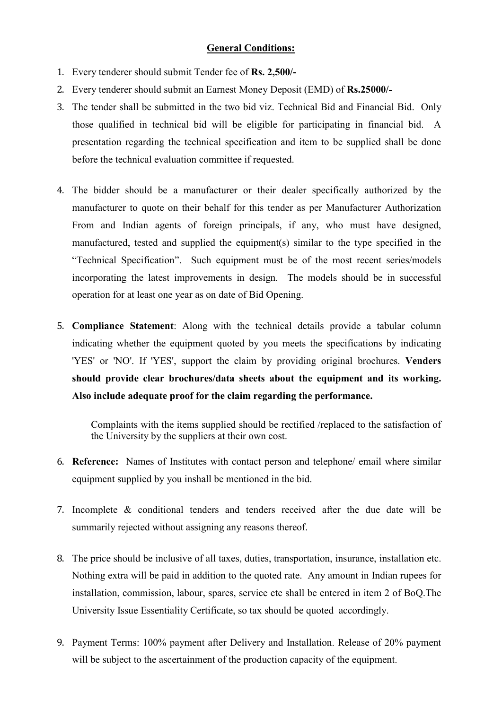#### **General Conditions:**

- 1. Every tenderer should submit Tender fee of **Rs. 2,500/-**
- 2. Every tenderer should submit an Earnest Money Deposit (EMD) of **Rs.25000/-**
- 3. The tender shall be submitted in the two bid viz. Technical Bid and Financial Bid. Only those qualified in technical bid will be eligible for participating in financial bid. A presentation regarding the technical specification and item to be supplied shall be done before the technical evaluation committee if requested.
- 4. The bidder should be a manufacturer or their dealer specifically authorized by the manufacturer to quote on their behalf for this tender as per Manufacturer Authorization From and Indian agents of foreign principals, if any, who must have designed, manufactured, tested and supplied the equipment(s) similar to the type specified in the "Technical Specification". Such equipment must be of the most recent series/models incorporating the latest improvements in design. The models should be in successful operation for at least one year as on date of Bid Opening.
- 5. **Compliance Statement**: Along with the technical details provide a tabular column indicating whether the equipment quoted by you meets the specifications by indicating 'YES' or 'NO'. If 'YES', support the claim by providing original brochures. **Venders should provide clear brochures/data sheets about the equipment and its working. Also include adequate proof for the claim regarding the performance.**

Complaints with the items supplied should be rectified /replaced to the satisfaction of the University by the suppliers at their own cost.

- 6. **Reference:** Names of Institutes with contact person and telephone/ email where similar equipment supplied by you inshall be mentioned in the bid.
- 7. Incomplete & conditional tenders and tenders received after the due date will be summarily rejected without assigning any reasons thereof.
- 8. The price should be inclusive of all taxes, duties, transportation, insurance, installation etc. Nothing extra will be paid in addition to the quoted rate. Any amount in Indian rupees for installation, commission, labour, spares, service etc shall be entered in item 2 of BoQ.The University Issue Essentiality Certificate, so tax should be quoted accordingly.
- 9. Payment Terms: 100% payment after Delivery and Installation. Release of 20% payment will be subject to the ascertainment of the production capacity of the equipment.